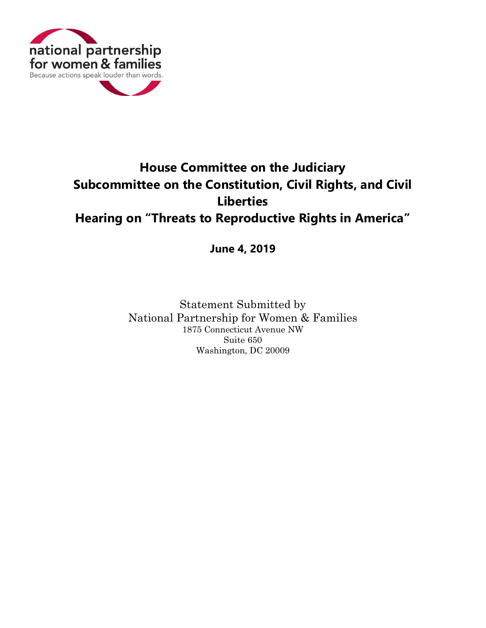

## **House Committee on the Judiciary Subcommittee on the Constitution, Civil Rights, and Civil Liberties Hearing on "Threats to Reproductive Rights in America"**

**June 4, 2019**

Statement Submitted by National Partnership for Women & Families 1875 Connecticut Avenue NW Suite 650 Washington, DC 20009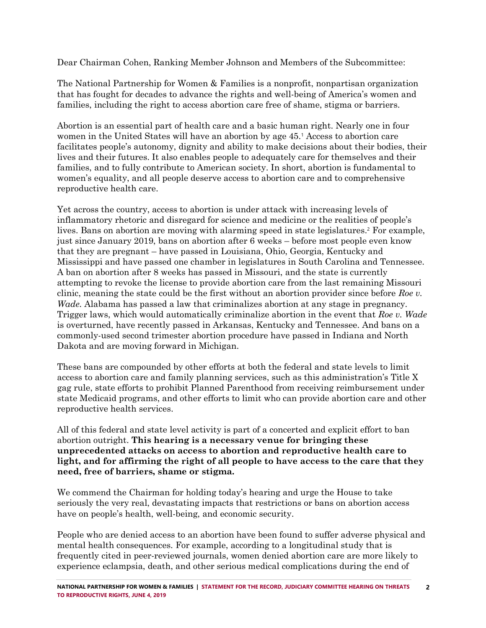Dear Chairman Cohen, Ranking Member Johnson and Members of the Subcommittee:

The National Partnership for Women & Families is a nonprofit, nonpartisan organization that has fought for decades to advance the rights and well-being of America's women and families, including the right to access abortion care free of shame, stigma or barriers.

Abortion is an essential part of health care and a basic human right. Nearly one in four women in the United States will have an abortion by age 45.<sup>1</sup> Access to abortion care facilitates people's autonomy, dignity and ability to make decisions about their bodies, their lives and their futures. It also enables people to adequately care for themselves and their families, and to fully contribute to American society. In short, abortion is fundamental to women's equality, and all people deserve access to abortion care and to comprehensive reproductive health care.

Yet across the country, access to abortion is under attack with increasing levels of inflammatory rhetoric and disregard for science and medicine or the realities of people's lives. Bans on abortion are moving with alarming speed in state legislatures.<sup>2</sup> For example, just since January 2019, bans on abortion after 6 weeks – before most people even know that they are pregnant – have passed in Louisiana, Ohio, Georgia, Kentucky and Mississippi and have passed one chamber in legislatures in South Carolina and Tennessee. A ban on abortion after 8 weeks has passed in Missouri, and the state is currently attempting to revoke the license to provide abortion care from the last remaining Missouri clinic, meaning the state could be the first without an abortion provider since before *Roe v. Wade.* Alabama has passed a law that criminalizes abortion at any stage in pregnancy. Trigger laws, which would automatically criminalize abortion in the event that *Roe v. Wade*  is overturned, have recently passed in Arkansas, Kentucky and Tennessee. And bans on a commonly-used second trimester abortion procedure have passed in Indiana and North Dakota and are moving forward in Michigan.

These bans are compounded by other efforts at both the federal and state levels to limit access to abortion care and family planning services, such as this administration's Title X gag rule, state efforts to prohibit Planned Parenthood from receiving reimbursement under state Medicaid programs, and other efforts to limit who can provide abortion care and other reproductive health services.

All of this federal and state level activity is part of a concerted and explicit effort to ban abortion outright. **This hearing is a necessary venue for bringing these unprecedented attacks on access to abortion and reproductive health care to light, and for affirming the right of all people to have access to the care that they need, free of barriers, shame or stigma.**

We commend the Chairman for holding today's hearing and urge the House to take seriously the very real, devastating impacts that restrictions or bans on abortion access have on people's health, well-being, and economic security.

People who are denied access to an abortion have been found to suffer adverse physical and mental health consequences. For example, according to a longitudinal study that is frequently cited in peer-reviewed journals, women denied abortion care are more likely to experience eclampsia, death, and other serious medical complications during the end of